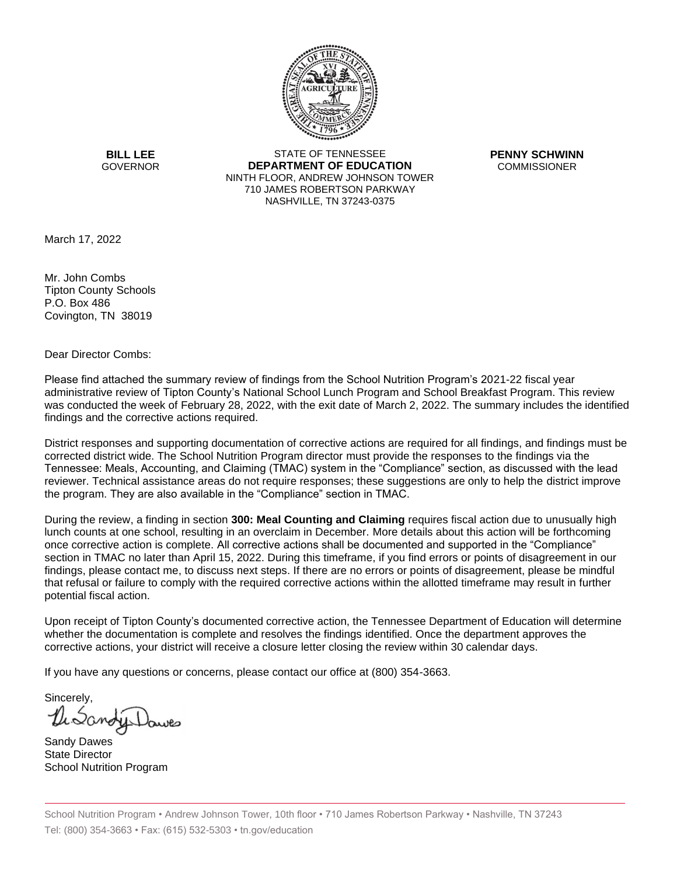

**BILL LEE GOVERNOR** 

STATE OF TENNESSEE **DEPARTMENT OF EDUCATION** NINTH FLOOR, ANDREW JOHNSON TOWER 710 JAMES ROBERTSON PARKWAY NASHVILLE, TN 37243-0375

**PENNY SCHWINN COMMISSIONER** 

March 17, 2022

Mr. John Combs Tipton County Schools P.O. Box 486 Covington, TN 38019

Dear Director Combs:

Please find attached the summary review of findings from the School Nutrition Program's 2021-22 fiscal year administrative review of Tipton County's National School Lunch Program and School Breakfast Program. This review was conducted the week of February 28, 2022, with the exit date of March 2, 2022. The summary includes the identified findings and the corrective actions required.

District responses and supporting documentation of corrective actions are required for all findings, and findings must be corrected district wide. The School Nutrition Program director must provide the responses to the findings via the Tennessee: Meals, Accounting, and Claiming (TMAC) system in the "Compliance" section, as discussed with the lead reviewer. Technical assistance areas do not require responses; these suggestions are only to help the district improve the program. They are also available in the "Compliance" section in TMAC.

During the review, a finding in section **300: Meal Counting and Claiming** requires fiscal action due to unusually high lunch counts at one school, resulting in an overclaim in December. More details about this action will be forthcoming once corrective action is complete. All corrective actions shall be documented and supported in the "Compliance" section in TMAC no later than April 15, 2022. During this timeframe, if you find errors or points of disagreement in our findings, please contact me, to discuss next steps. If there are no errors or points of disagreement, please be mindful that refusal or failure to comply with the required corrective actions within the allotted timeframe may result in further potential fiscal action.

Upon receipt of Tipton County's documented corrective action, the Tennessee Department of Education will determine whether the documentation is complete and resolves the findings identified. Once the department approves the corrective actions, your district will receive a closure letter closing the review within 30 calendar days.

If you have any questions or concerns, please contact our office at (800) 354-3663.

Sincerely,

Sandy Dawes State Director School Nutrition Program